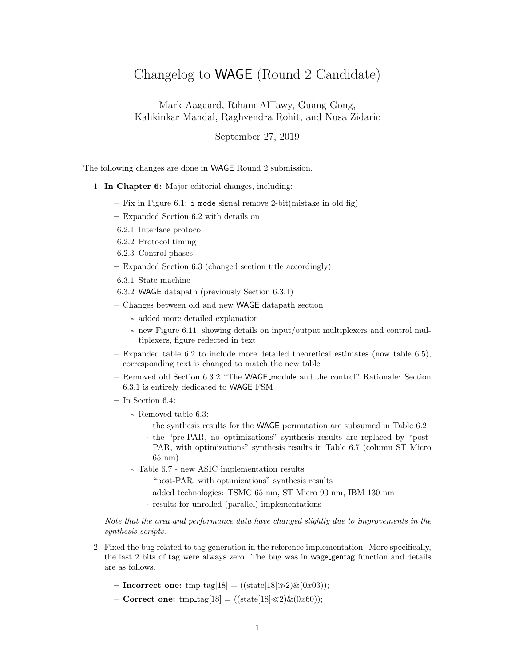## Changelog to WAGE (Round 2 Candidate)

Mark Aagaard, Riham AlTawy, Guang Gong, Kalikinkar Mandal, Raghvendra Rohit, and Nusa Zidaric

September 27, 2019

The following changes are done in WAGE Round 2 submission.

## 1. In Chapter 6: Major editorial changes, including:

- Fix in Figure 6.1: i mode signal remove 2-bit(mistake in old fig)
- Expanded Section 6.2 with details on
- 6.2.1 Interface protocol
- 6.2.2 Protocol timing
- 6.2.3 Control phases
- Expanded Section 6.3 (changed section title accordingly)
- 6.3.1 State machine
- 6.3.2 WAGE datapath (previously Section 6.3.1)
- Changes between old and new WAGE datapath section
	- ∗ added more detailed explanation
	- ∗ new Figure 6.11, showing details on input/output multiplexers and control multiplexers, figure reflected in text
- Expanded table 6.2 to include more detailed theoretical estimates (now table 6.5), corresponding text is changed to match the new table
- Removed old Section 6.3.2 "The WAGE module and the control" Rationale: Section 6.3.1 is entirely dedicated to WAGE FSM
- In Section 6.4:
	- ∗ Removed table 6.3:
		- · the synthesis results for the WAGE permutation are subsumed in Table 6.2
		- · the "pre-PAR, no optimizations" synthesis results are replaced by "post-PAR, with optimizations" synthesis results in Table 6.7 (column ST Micro 65 nm)
	- ∗ Table 6.7 new ASIC implementation results
		- · "post-PAR, with optimizations" synthesis results
		- · added technologies: TSMC 65 nm, ST Micro 90 nm, IBM 130 nm
		- · results for unrolled (parallel) implementations

Note that the area and performance data have changed slightly due to improvements in the synthesis scripts.

- 2. Fixed the bug related to tag generation in the reference implementation. More specifically, the last 2 bits of tag were always zero. The bug was in wage gentag function and details are as follows.
	- Incorrect one: tmp\_tag[18] = ((state[18] $\gg$ 2)&(0x03));
	- Correct one: tmp\_tag[18] = ((state[18] $\ll$ 2)&(0x60));